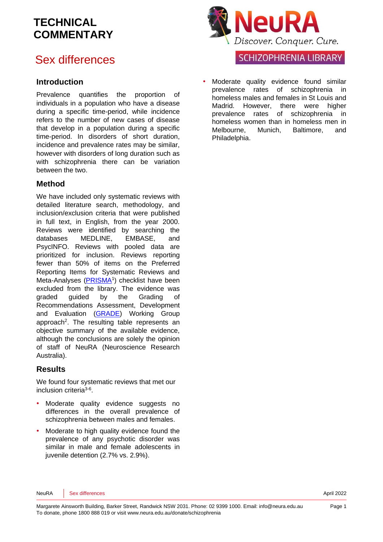# Sex differences

#### **Introduction**

Prevalence quantifies the proportion of individuals in a population who have a disease during a specific time-period, while incidence refers to the number of new cases of disease that develop in a population during a specific time-period. In disorders of short duration, incidence and prevalence rates may be similar, however with disorders of long duration such as with schizophrenia there can be variation between the two.

### **Method**

We have included only systematic reviews with detailed literature search, methodology, and inclusion/exclusion criteria that were published in full text, in English, from the year 2000. Reviews were identified by searching the databases MEDLINE, EMBASE, and PsycINFO. Reviews with pooled data are prioritized for inclusion. Reviews reporting fewer than 50% of items on the Preferred Reporting Items for Systematic Reviews and Meta-Analyses [\(PRISMA](http://www.prisma-statement.org/)<sup>[1](#page-7-0)</sup>) checklist have been excluded from the library. The evidence was graded guided by the Grading of Recommendations Assessment, Development and Evaluation [\(GRADE\)](http://www.gradeworkinggroup.org/) Working Group approach<sup>2</sup>[.](#page-7-1) The resulting table represents an objective summary of the available evidence, although the conclusions are solely the opinion of staff of NeuRA (Neuroscience Research Australia).

#### **Results**

We found four systematic reviews that met our inclusion criteria<sup>[3-6](#page-7-2)</sup>.

- Moderate quality evidence suggests no differences in the overall prevalence of schizophrenia between males and females.
- Moderate to high quality evidence found the prevalence of any psychotic disorder was similar in male and female adolescents in juvenile detention (2.7% vs. 2.9%).



**SCHIZOPHRENIA LIBRARY** 

Moderate quality evidence found similar prevalence rates of schizophrenia in homeless males and females in St Louis and Madrid. However, there were higher prevalence rates of schizophrenia in homeless women than in homeless men in Melbourne, Munich, Baltimore, and Philadelphia.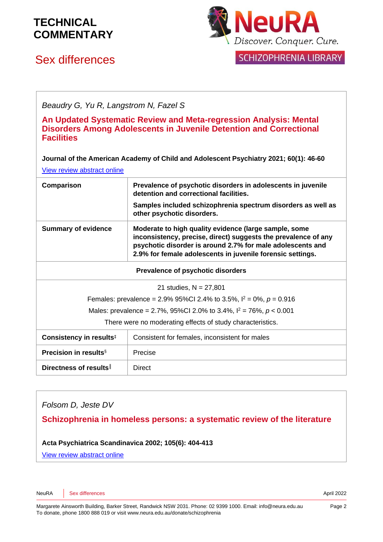# Sex differences



**SCHIZOPHRENIA LIBRARY** 

*Beaudry G, Yu R, Langstrom N, Fazel S* **An Updated Systematic Review and Meta-regression Analysis: Mental Disorders Among Adolescents in Juvenile Detention and Correctional Facilities Journal of the American Academy of Child and Adolescent Psychiatry 2021; 60(1): 46-60** [View review abstract online](https://pubmed.ncbi.nlm.nih.gov/32035113/) **Comparison Prevalence of psychotic disorders in adolescents in juvenile detention and correctional facilities. Samples included schizophrenia spectrum disorders as well as other psychotic disorders. Summary of evidence Moderate to high quality evidence (large sample, some inconsistency, precise, direct) suggests the prevalence of any psychotic disorder is around 2.7% for male adolescents and 2.9% for female adolescents in juvenile forensic settings. Prevalence of psychotic disorders** 21 studies, N = 27,801 Females: prevalence = 2.9% 95%Cl 2.4% to 3.5%,  $l^2 = 0$ %,  $p = 0.916$ Males: prevalence = 2.7%, 95%CI 2.0% to 3.4%, I <sup>2</sup> = 76%, *p* < 0.001 There were no moderating effects of study characteristics. **Consistency in results<sup>‡</sup>** Consistent for females, inconsistent for males **Precision in results**§ Precise **Directness of results** | Direct

*Folsom D, Jeste DV*

**Schizophrenia in homeless persons: a systematic review of the literature**

**Acta Psychiatrica Scandinavica 2002; 105(6): 404-413**

[View review abstract online](http://www.ncbi.nlm.nih.gov/pubmed/12059843)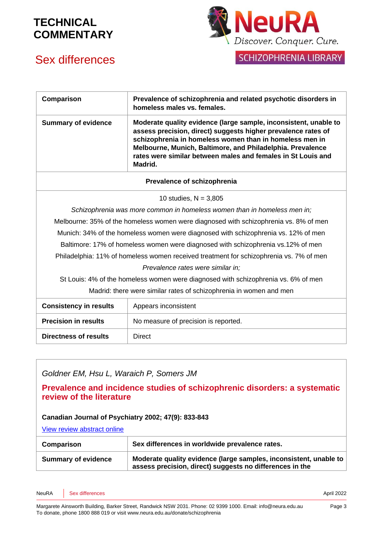# Sex differences



SCHIZOPHRENIA LIBRARY

| Comparison                                                                             | Prevalence of schizophrenia and related psychotic disorders in<br>homeless males vs. females.                                                                                                                                                                                                                                         |  |
|----------------------------------------------------------------------------------------|---------------------------------------------------------------------------------------------------------------------------------------------------------------------------------------------------------------------------------------------------------------------------------------------------------------------------------------|--|
| <b>Summary of evidence</b>                                                             | Moderate quality evidence (large sample, inconsistent, unable to<br>assess precision, direct) suggests higher prevalence rates of<br>schizophrenia in homeless women than in homeless men in<br>Melbourne, Munich, Baltimore, and Philadelphia. Prevalence<br>rates were similar between males and females in St Louis and<br>Madrid. |  |
| Prevalence of schizophrenia                                                            |                                                                                                                                                                                                                                                                                                                                       |  |
|                                                                                        | 10 studies, $N = 3,805$                                                                                                                                                                                                                                                                                                               |  |
| Schizophrenia was more common in homeless women than in homeless men in;               |                                                                                                                                                                                                                                                                                                                                       |  |
| Melbourne: 35% of the homeless women were diagnosed with schizophrenia vs. 8% of men   |                                                                                                                                                                                                                                                                                                                                       |  |
| Munich: 34% of the homeless women were diagnosed with schizophrenia vs. 12% of men     |                                                                                                                                                                                                                                                                                                                                       |  |
| Baltimore: 17% of homeless women were diagnosed with schizophrenia vs.12% of men       |                                                                                                                                                                                                                                                                                                                                       |  |
| Philadelphia: 11% of homeless women received treatment for schizophrenia vs. 7% of men |                                                                                                                                                                                                                                                                                                                                       |  |
| Prevalence rates were similar in;                                                      |                                                                                                                                                                                                                                                                                                                                       |  |
| St Louis: 4% of the homeless women were diagnosed with schizophrenia vs. 6% of men     |                                                                                                                                                                                                                                                                                                                                       |  |
|                                                                                        | Madrid: there were similar rates of schizophrenia in women and men                                                                                                                                                                                                                                                                    |  |
| <b>Consistency in results</b>                                                          | Appears inconsistent                                                                                                                                                                                                                                                                                                                  |  |
| <b>Precision in results</b>                                                            | No measure of precision is reported.                                                                                                                                                                                                                                                                                                  |  |
| <b>Directness of results</b>                                                           | <b>Direct</b>                                                                                                                                                                                                                                                                                                                         |  |

### *Goldner EM, Hsu L, Waraich P, Somers JM*

**Prevalence and incidence studies of schizophrenic disorders: a systematic review of the literature** 

#### **Canadian Journal of Psychiatry 2002; 47(9): 833-843**

[View review abstract online](http://www.ncbi.nlm.nih.gov/pubmed/12500753) 

| Comparison                 | Sex differences in worldwide prevalence rates.                                                                                |
|----------------------------|-------------------------------------------------------------------------------------------------------------------------------|
| <b>Summary of evidence</b> | Moderate quality evidence (large samples, inconsistent, unable to<br>assess precision, direct) suggests no differences in the |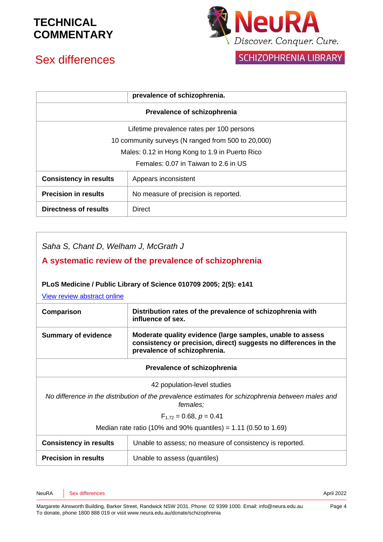# Sex differences



|                                                    | prevalence of schizophrenia.         |  |
|----------------------------------------------------|--------------------------------------|--|
| Prevalence of schizophrenia                        |                                      |  |
| Lifetime prevalence rates per 100 persons          |                                      |  |
| 10 community surveys (N ranged from 500 to 20,000) |                                      |  |
| Males: 0.12 in Hong Kong to 1.9 in Puerto Rico     |                                      |  |
| Females: 0.07 in Taiwan to 2.6 in US               |                                      |  |
| <b>Consistency in results</b>                      | Appears inconsistent                 |  |
| <b>Precision in results</b>                        | No measure of precision is reported. |  |
| Directness of results                              | Direct                               |  |

*Saha S, Chant D, Welham J, McGrath J*

### **A systematic review of the prevalence of schizophrenia**

#### **PLoS Medicine / Public Library of Science 010709 2005; 2(5): e141**

[View review abstract online](http://www.plosmedicine.org/article/info:doi/10.1371/journal.pmed.0020141) 

| Comparison                    | Distribution rates of the prevalence of schizophrenia with<br>influence of sex.                                                                                |
|-------------------------------|----------------------------------------------------------------------------------------------------------------------------------------------------------------|
| <b>Summary of evidence</b>    | Moderate quality evidence (large samples, unable to assess<br>consistency or precision, direct) suggests no differences in the<br>prevalence of schizophrenia. |
|                               | Prevalence of schizophrenia                                                                                                                                    |
|                               | 42 population-level studies                                                                                                                                    |
|                               | No difference in the distribution of the prevalence estimates for schizophrenia between males and<br>females;                                                  |
|                               | $F_{1.72} = 0.68, p = 0.41$                                                                                                                                    |
|                               | Median rate ratio (10% and 90% quantiles) = 1.11 (0.50 to 1.69)                                                                                                |
| <b>Consistency in results</b> | Unable to assess; no measure of consistency is reported.                                                                                                       |
| <b>Precision in results</b>   | Unable to assess (quantiles)                                                                                                                                   |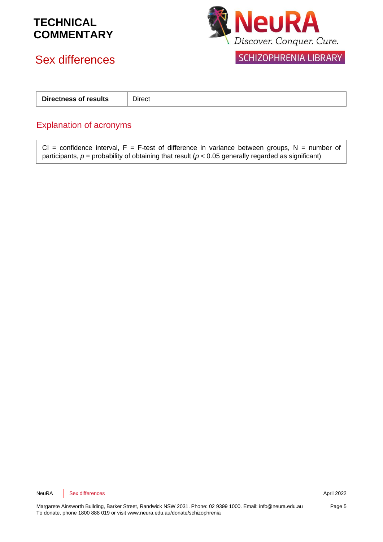# Sex differences



SCHIZOPHRENIA LIBRARY

| Directness of results | - -<br>Direct |
|-----------------------|---------------|
|                       |               |

### Explanation of acronyms

CI = confidence interval,  $F = F$ -test of difference in variance between groups, N = number of participants,  $p =$  probability of obtaining that result ( $p < 0.05$  generally regarded as significant)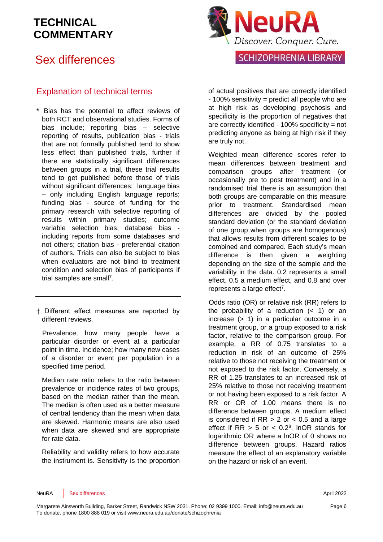# Sex differences

### Explanation of technical terms

- \* Bias has the potential to affect reviews of both RCT and observational studies. Forms of bias include; reporting bias – selective reporting of results, publication bias - trials that are not formally published tend to show less effect than published trials, further if there are statistically significant differences between groups in a trial, these trial results tend to get published before those of trials without significant differences; language bias – only including English language reports; funding bias - source of funding for the primary research with selective reporting of results within primary studies; outcome variable selection bias; database bias including reports from some databases and not others; citation bias - preferential citation of authors. Trials can also be subject to bias when evaluators are not blind to treatment condition and selection bias of participants if trial samples are sma[ll](#page-7-3)<sup>7</sup>.
- † Different effect measures are reported by different reviews.

Prevalence; how many people have a particular disorder or event at a particular point in time. Incidence; how many new cases of a disorder or event per population in a specified time period.

Median rate ratio refers to the ratio between prevalence or incidence rates of two groups, based on the median rather than the mean. The median is often used as a better measure of central tendency than the mean when data are skewed. Harmonic means are also used when data are skewed and are appropriate for rate data.

Reliability and validity refers to how accurate the instrument is. Sensitivity is the proportion



of actual positives that are correctly identified - 100% sensitivity = predict all people who are at high risk as developing psychosis and specificity is the proportion of negatives that are correctly identified - 100% specificity = not predicting anyone as being at high risk if they are truly not.

Weighted mean difference scores refer to mean differences between treatment and comparison groups after treatment (or occasionally pre to post treatment) and in a randomised trial there is an assumption that both groups are comparable on this measure prior to treatment. Standardised mean differences are divided by the pooled standard deviation (or the standard deviation of one group when groups are homogenous) that allows results from different scales to be combined and compared. Each study's mean difference is then given a weighting depending on the size of the sample and the variability in the data. 0.2 represents a small effect, 0.5 a medium effect, and 0.8 and over represents a large effect<sup>[7](#page-7-3)</sup>.

Odds ratio (OR) or relative risk (RR) refers to the probability of a reduction  $($  1) or an increase (> 1) in a particular outcome in a treatment group, or a group exposed to a risk factor, relative to the comparison group. For example, a RR of 0.75 translates to a reduction in risk of an outcome of 25% relative to those not receiving the treatment or not exposed to the risk factor. Conversely, a RR of 1.25 translates to an increased risk of 25% relative to those not receiving treatment or not having been exposed to a risk factor. A RR or OR of 1.00 means there is no difference between groups. A medium effect is considered if  $RR > 2$  or  $< 0.5$  and a large effect if  $RR > 5$  or  $< 0.2<sup>8</sup>$  $< 0.2<sup>8</sup>$  $< 0.2<sup>8</sup>$ . InOR stands for logarithmic OR where a lnOR of 0 shows no difference between groups. Hazard ratios measure the effect of an explanatory variable on the hazard or risk of an event.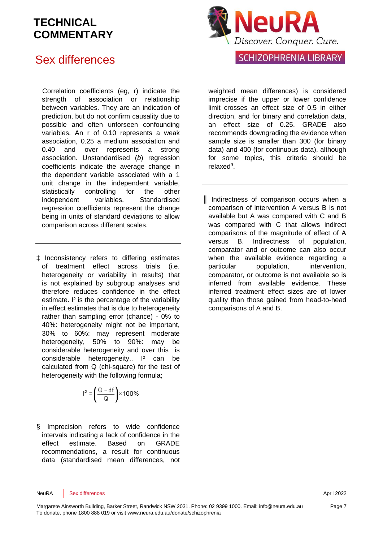### Sex differences

Correlation coefficients (eg, r) indicate the strength of association or relationship between variables. They are an indication of prediction, but do not confirm causality due to possible and often unforseen confounding variables. An r of 0.10 represents a weak association, 0.25 a medium association and 0.40 and over represents a strong association. Unstandardised (*b*) regression coefficients indicate the average change in the dependent variable associated with a 1 unit change in the independent variable, statistically controlling for the other independent variables. Standardised regression coefficients represent the change being in units of standard deviations to allow comparison across different scales.

‡ Inconsistency refers to differing estimates of treatment effect across trials (i.e. heterogeneity or variability in results) that is not explained by subgroup analyses and therefore reduces confidence in the effect estimate. I² is the percentage of the variability in effect estimates that is due to heterogeneity rather than sampling error (chance) - 0% to 40%: heterogeneity might not be important, 30% to 60%: may represent moderate heterogeneity, 50% to 90%: may be considerable heterogeneity and over this is considerable heterogeneity.. I<sup>2</sup> can be calculated from Q (chi-square) for the test of heterogeneity with the following formula;



§ Imprecision refers to wide confidence intervals indicating a lack of confidence in the effect estimate. Based on GRADE recommendations, a result for continuous data (standardised mean differences, not



weighted mean differences) is considered imprecise if the upper or lower confidence limit crosses an effect size of 0.5 in either direction, and for binary and correlation data, an effect size of 0.25. GRADE also recommends downgrading the evidence when sample size is smaller than 300 (for binary data) and 400 (for continuous data), although for some topics, this criteria should be relaxe[d](#page-7-5)<sup>9</sup>.

║ Indirectness of comparison occurs when a comparison of intervention A versus B is not available but A was compared with C and B was compared with C that allows indirect comparisons of the magnitude of effect of A versus B. Indirectness of population, comparator and or outcome can also occur when the available evidence regarding a particular population, intervention, comparator, or outcome is not available so is inferred from available evidence. These inferred treatment effect sizes are of lower quality than those gained from head-to-head comparisons of A and B.

NeuRA Sex differences **April 2022**